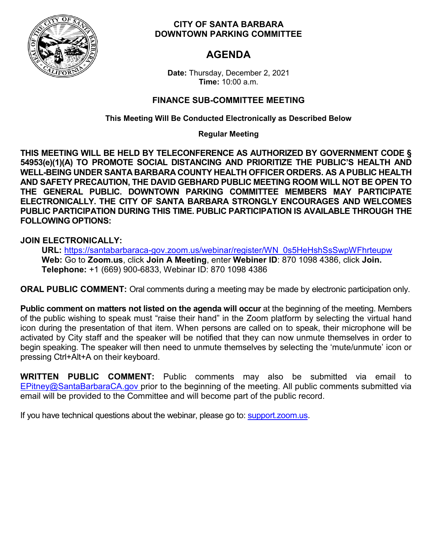

### **CITY OF SANTA BARBARA DOWNTOWN PARKING COMMITTEE**

# **AGENDA**

**Date:** Thursday, December 2, 2021 **Time:** 10:00 a.m.

## **FINANCE SUB-COMMITTEE MEETING**

**This Meeting Will Be Conducted Electronically as Described Below** 

**Regular Meeting**

**THIS MEETING WILL BE HELD BY TELECONFERENCE AS AUTHORIZED BY GOVERNMENT CODE § 54953(e)(1)(A) TO PROMOTE SOCIAL DISTANCING AND PRIORITIZE THE PUBLIC'S HEALTH AND WELL-BEING UNDER SANTA BARBARA COUNTY HEALTH OFFICER ORDERS. AS A PUBLIC HEALTH AND SAFETY PRECAUTION, THE DAVID GEBHARD PUBLIC MEETING ROOM WILL NOT BE OPEN TO THE GENERAL PUBLIC. DOWNTOWN PARKING COMMITTEE MEMBERS MAY PARTICIPATE ELECTRONICALLY. THE CITY OF SANTA BARBARA STRONGLY ENCOURAGES AND WELCOMES PUBLIC PARTICIPATION DURING THIS TIME. PUBLIC PARTICIPATION IS AVAILABLE THROUGH THE FOLLOWING OPTIONS:**

### **JOIN ELECTRONICALLY:**

**URL:** [https://santabarbaraca-gov.zoom.us/webinar/register/WN\\_0s5HeHshSsSwpWFhrteupw](https://santabarbaraca-gov.zoom.us/webinar/register/WN_0s5HeHshSsSwpWFhrteupw) **Web:** Go to **Zoom.us**, click **Join A Meeting**, enter **Webiner ID**: 870 1098 4386, click **Join. Telephone:** +1 (669) 900-6833, Webinar ID: 870 1098 4386

**ORAL PUBLIC COMMENT:** Oral comments during a meeting may be made by electronic participation only.

**Public comment on matters not listed on the agenda will occur** at the beginning of the meeting. Members of the public wishing to speak must "raise their hand" in the Zoom platform by selecting the virtual hand icon during the presentation of that item. When persons are called on to speak, their microphone will be activated by City staff and the speaker will be notified that they can now unmute themselves in order to begin speaking. The speaker will then need to unmute themselves by selecting the 'mute/unmute' icon or pressing Ctrl+Alt+A on their keyboard.

**WRITTEN PUBLIC COMMENT:** Public comments may also be submitted via email to [EPitney@SantaBarbaraCA.gov p](mailto:EPitney@SantaBarbaraCA.gov)rior to the beginning of the meeting. All public comments submitted via email will be provided to the Committee and will become part of the public record.

If you have technical questions about the webinar, please go to: support.zoom.us.